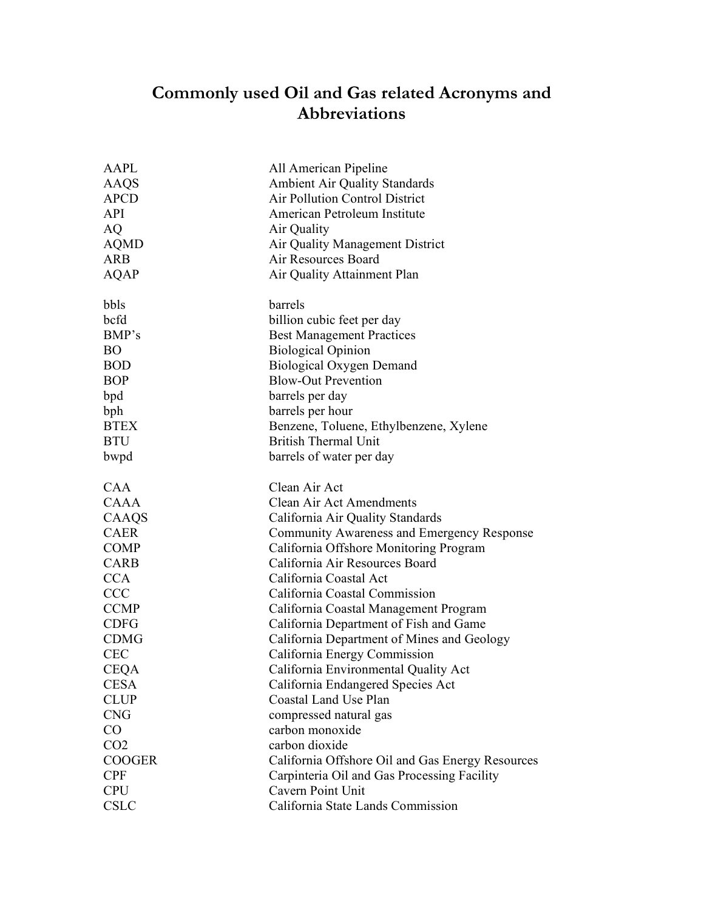## **Commonly used Oil and Gas related Acronyms and Abbreviations**

| <b>AAPL</b>     | All American Pipeline                            |
|-----------------|--------------------------------------------------|
| AAQS            | Ambient Air Quality Standards                    |
| <b>APCD</b>     | Air Pollution Control District                   |
| <b>API</b>      | American Petroleum Institute                     |
| AQ              | Air Quality                                      |
| <b>AQMD</b>     | Air Quality Management District                  |
| <b>ARB</b>      | Air Resources Board                              |
| <b>AQAP</b>     | Air Quality Attainment Plan                      |
|                 |                                                  |
| bbls            | barrels                                          |
| bcfd            | billion cubic feet per day                       |
| BMP's           | <b>Best Management Practices</b>                 |
| <b>BO</b>       | <b>Biological Opinion</b>                        |
| <b>BOD</b>      | <b>Biological Oxygen Demand</b>                  |
| <b>BOP</b>      | <b>Blow-Out Prevention</b>                       |
| bpd             | barrels per day                                  |
| bph             | barrels per hour                                 |
| <b>BTEX</b>     | Benzene, Toluene, Ethylbenzene, Xylene           |
| <b>BTU</b>      | <b>British Thermal Unit</b>                      |
| bwpd            | barrels of water per day                         |
|                 |                                                  |
| <b>CAA</b>      | Clean Air Act                                    |
| <b>CAAA</b>     | Clean Air Act Amendments                         |
| CAAQS           | California Air Quality Standards                 |
| <b>CAER</b>     | Community Awareness and Emergency Response       |
| <b>COMP</b>     | California Offshore Monitoring Program           |
| <b>CARB</b>     | California Air Resources Board                   |
| <b>CCA</b>      | California Coastal Act                           |
| <b>CCC</b>      | California Coastal Commission                    |
| <b>CCMP</b>     | California Coastal Management Program            |
| <b>CDFG</b>     | California Department of Fish and Game           |
| <b>CDMG</b>     | California Department of Mines and Geology       |
| <b>CEC</b>      | California Energy Commission                     |
| <b>CEOA</b>     | California Environmental Quality Act             |
| <b>CESA</b>     | California Endangered Species Act                |
| <b>CLUP</b>     | Coastal Land Use Plan                            |
| <b>CNG</b>      | compressed natural gas                           |
| CO              | carbon monoxide                                  |
| CO <sub>2</sub> | carbon dioxide                                   |
| <b>COOGER</b>   | California Offshore Oil and Gas Energy Resources |
| <b>CPF</b>      | Carpinteria Oil and Gas Processing Facility      |
| <b>CPU</b>      | Cavern Point Unit                                |
| <b>CSLC</b>     | California State Lands Commission                |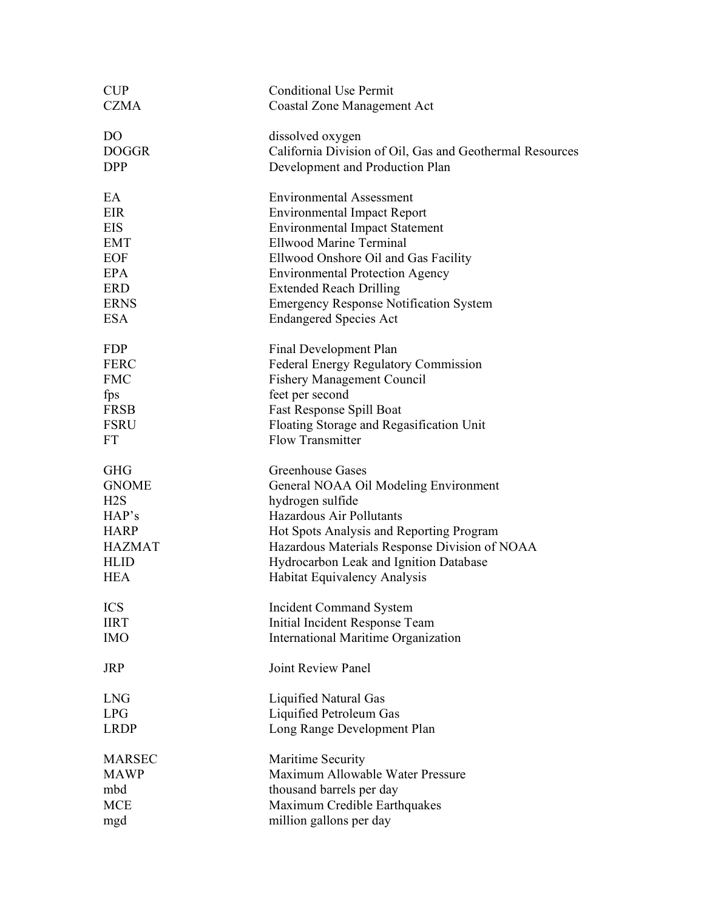| <b>CUP</b>     | <b>Conditional Use Permit</b>                            |
|----------------|----------------------------------------------------------|
| <b>CZMA</b>    | <b>Coastal Zone Management Act</b>                       |
| D <sub>O</sub> | dissolved oxygen                                         |
| <b>DOGGR</b>   | California Division of Oil, Gas and Geothermal Resources |
| <b>DPP</b>     | Development and Production Plan                          |
| EA             | <b>Environmental Assessment</b>                          |
| EIR            | <b>Environmental Impact Report</b>                       |
| <b>EIS</b>     | <b>Environmental Impact Statement</b>                    |
| <b>EMT</b>     | <b>Ellwood Marine Terminal</b>                           |
| <b>EOF</b>     | Ellwood Onshore Oil and Gas Facility                     |
| <b>EPA</b>     | <b>Environmental Protection Agency</b>                   |
| <b>ERD</b>     | <b>Extended Reach Drilling</b>                           |
| <b>ERNS</b>    | <b>Emergency Response Notification System</b>            |
| <b>ESA</b>     | <b>Endangered Species Act</b>                            |
| <b>FDP</b>     | Final Development Plan                                   |
| <b>FERC</b>    | <b>Federal Energy Regulatory Commission</b>              |
| <b>FMC</b>     | <b>Fishery Management Council</b>                        |
| fps            | feet per second                                          |
| <b>FRSB</b>    | Fast Response Spill Boat                                 |
| <b>FSRU</b>    | Floating Storage and Regasification Unit                 |
| <b>FT</b>      | <b>Flow Transmitter</b>                                  |
| <b>GHG</b>     | <b>Greenhouse Gases</b>                                  |
| <b>GNOME</b>   | General NOAA Oil Modeling Environment                    |
| H2S            | hydrogen sulfide                                         |
| HAP's          | Hazardous Air Pollutants                                 |
| <b>HARP</b>    | Hot Spots Analysis and Reporting Program                 |
| <b>HAZMAT</b>  | Hazardous Materials Response Division of NOAA            |
| <b>HLID</b>    | Hydrocarbon Leak and Ignition Database                   |
| <b>HEA</b>     | Habitat Equivalency Analysis                             |
| <b>ICS</b>     | <b>Incident Command System</b>                           |
| <b>IIRT</b>    | Initial Incident Response Team                           |
| <b>IMO</b>     | International Maritime Organization                      |
| <b>JRP</b>     | <b>Joint Review Panel</b>                                |
| <b>LNG</b>     | Liquified Natural Gas                                    |
| <b>LPG</b>     | Liquified Petroleum Gas                                  |
| <b>LRDP</b>    | Long Range Development Plan                              |
| <b>MARSEC</b>  | Maritime Security                                        |
| <b>MAWP</b>    | Maximum Allowable Water Pressure                         |
| mbd            | thousand barrels per day                                 |
| <b>MCE</b>     | Maximum Credible Earthquakes                             |
| mgd            | million gallons per day                                  |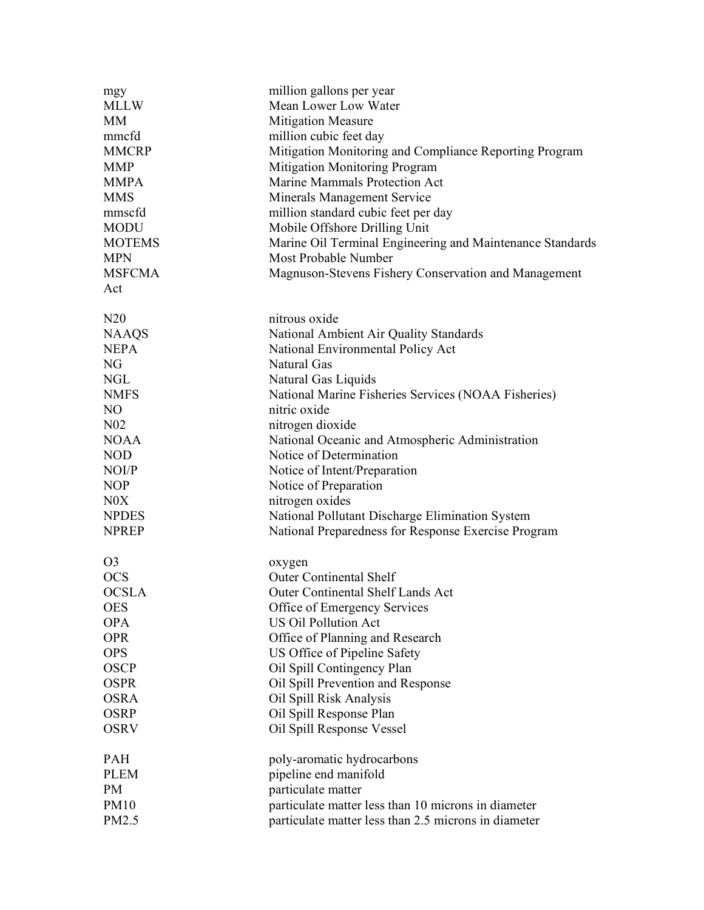| mgy             | million gallons per year                                  |  |
|-----------------|-----------------------------------------------------------|--|
| <b>MLLW</b>     | Mean Lower Low Water                                      |  |
| <b>MM</b>       | <b>Mitigation Measure</b>                                 |  |
| mmcfd           | million cubic feet day                                    |  |
| <b>MMCRP</b>    | Mitigation Monitoring and Compliance Reporting Program    |  |
| <b>MMP</b>      | Mitigation Monitoring Program                             |  |
| <b>MMPA</b>     | Marine Mammals Protection Act                             |  |
| <b>MMS</b>      | Minerals Management Service                               |  |
| mmscfd          | million standard cubic feet per day                       |  |
| <b>MODU</b>     | Mobile Offshore Drilling Unit                             |  |
| <b>MOTEMS</b>   | Marine Oil Terminal Engineering and Maintenance Standards |  |
| <b>MPN</b>      | Most Probable Number                                      |  |
| <b>MSFCMA</b>   | Magnuson-Stevens Fishery Conservation and Management      |  |
| Act             |                                                           |  |
| N20             | nitrous oxide                                             |  |
| <b>NAAQS</b>    | National Ambient Air Quality Standards                    |  |
| <b>NEPA</b>     | National Environmental Policy Act                         |  |
| NG              | Natural Gas                                               |  |
| <b>NGL</b>      | Natural Gas Liquids                                       |  |
| <b>NMFS</b>     | National Marine Fisheries Services (NOAA Fisheries)       |  |
| N <sub>O</sub>  | nitric oxide                                              |  |
| N <sub>02</sub> | nitrogen dioxide                                          |  |
| <b>NOAA</b>     | National Oceanic and Atmospheric Administration           |  |
| <b>NOD</b>      | Notice of Determination                                   |  |
| NOI/P           | Notice of Intent/Preparation                              |  |
| <b>NOP</b>      | Notice of Preparation                                     |  |
| N0X             | nitrogen oxides                                           |  |
| <b>NPDES</b>    | National Pollutant Discharge Elimination System           |  |
| <b>NPREP</b>    | National Preparedness for Response Exercise Program       |  |
| O <sub>3</sub>  | oxygen                                                    |  |
| <b>OCS</b>      | <b>Outer Continental Shelf</b>                            |  |
| <b>OCSLA</b>    | <b>Outer Continental Shelf Lands Act</b>                  |  |
| <b>OES</b>      | Office of Emergency Services                              |  |
| <b>OPA</b>      | <b>US Oil Pollution Act</b>                               |  |
| <b>OPR</b>      | Office of Planning and Research                           |  |
| <b>OPS</b>      | US Office of Pipeline Safety                              |  |
| <b>OSCP</b>     | Oil Spill Contingency Plan                                |  |
| <b>OSPR</b>     | Oil Spill Prevention and Response                         |  |
| <b>OSRA</b>     | Oil Spill Risk Analysis                                   |  |
| <b>OSRP</b>     | Oil Spill Response Plan                                   |  |
| <b>OSRV</b>     | Oil Spill Response Vessel                                 |  |
| <b>PAH</b>      | poly-aromatic hydrocarbons                                |  |
| <b>PLEM</b>     | pipeline end manifold                                     |  |
| <b>PM</b>       | particulate matter                                        |  |
| <b>PM10</b>     | particulate matter less than 10 microns in diameter       |  |
| PM2.5           | particulate matter less than 2.5 microns in diameter      |  |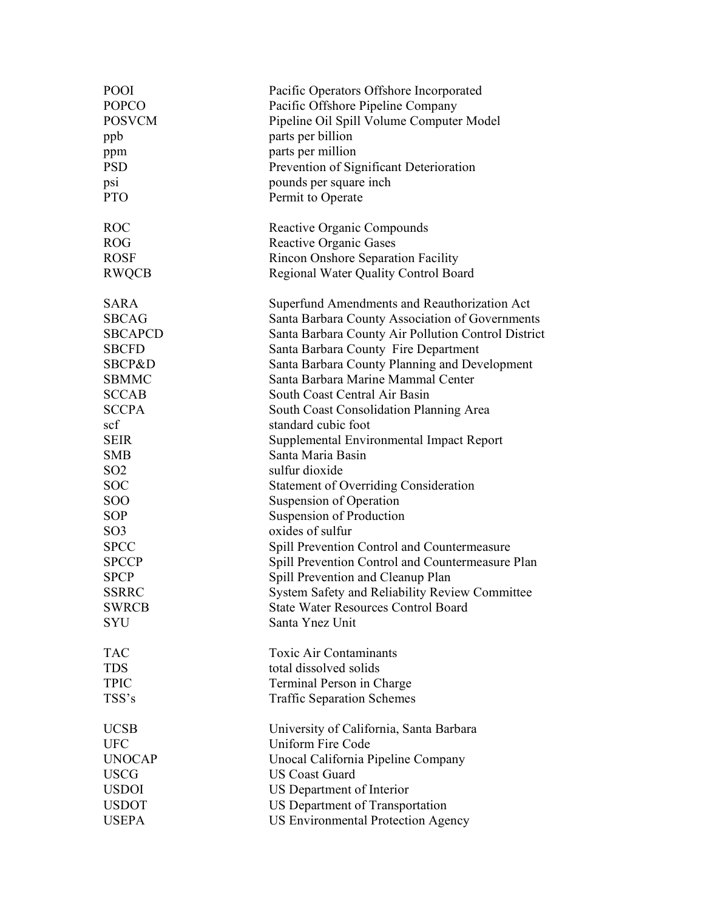| <b>POOI</b>       | Pacific Operators Offshore Incorporated             |
|-------------------|-----------------------------------------------------|
| <b>POPCO</b>      | Pacific Offshore Pipeline Company                   |
| <b>POSVCM</b>     | Pipeline Oil Spill Volume Computer Model            |
| ppb               | parts per billion                                   |
| ppm               | parts per million                                   |
| <b>PSD</b>        | Prevention of Significant Deterioration             |
| psi               | pounds per square inch                              |
| <b>PTO</b>        | Permit to Operate                                   |
| <b>ROC</b>        | Reactive Organic Compounds                          |
| <b>ROG</b>        | Reactive Organic Gases                              |
| <b>ROSF</b>       | Rincon Onshore Separation Facility                  |
| <b>RWQCB</b>      | Regional Water Quality Control Board                |
| <b>SARA</b>       | Superfund Amendments and Reauthorization Act        |
| <b>SBCAG</b>      | Santa Barbara County Association of Governments     |
| <b>SBCAPCD</b>    | Santa Barbara County Air Pollution Control District |
| <b>SBCFD</b>      | Santa Barbara County Fire Department                |
| <b>SBCP&amp;D</b> | Santa Barbara County Planning and Development       |
| <b>SBMMC</b>      | Santa Barbara Marine Mammal Center                  |
| <b>SCCAB</b>      | South Coast Central Air Basin                       |
| <b>SCCPA</b>      | South Coast Consolidation Planning Area             |
| scf               | standard cubic foot                                 |
| <b>SEIR</b>       | Supplemental Environmental Impact Report            |
| <b>SMB</b>        | Santa Maria Basin                                   |
| SO <sub>2</sub>   | sulfur dioxide                                      |
| <b>SOC</b>        | <b>Statement of Overriding Consideration</b>        |
| <b>SOO</b>        | Suspension of Operation                             |
| <b>SOP</b>        | Suspension of Production                            |
| SO <sub>3</sub>   | oxides of sulfur                                    |
| <b>SPCC</b>       | Spill Prevention Control and Countermeasure         |
| <b>SPCCP</b>      | Spill Prevention Control and Countermeasure Plan    |
| <b>SPCP</b>       | Spill Prevention and Cleanup Plan                   |
| <b>SSRRC</b>      | System Safety and Reliability Review Committee      |
| <b>SWRCB</b>      | <b>State Water Resources Control Board</b>          |
| <b>SYU</b>        | Santa Ynez Unit                                     |
| <b>TAC</b>        | <b>Toxic Air Contaminants</b>                       |
| <b>TDS</b>        | total dissolved solids                              |
| <b>TPIC</b>       | Terminal Person in Charge                           |
| TSS's             | <b>Traffic Separation Schemes</b>                   |
| <b>UCSB</b>       | University of California, Santa Barbara             |
| <b>UFC</b>        | <b>Uniform Fire Code</b>                            |
| <b>UNOCAP</b>     | Unocal California Pipeline Company                  |
| <b>USCG</b>       | <b>US Coast Guard</b>                               |
| <b>USDOI</b>      | US Department of Interior                           |
| <b>USDOT</b>      | US Department of Transportation                     |
| <b>USEPA</b>      | <b>US Environmental Protection Agency</b>           |